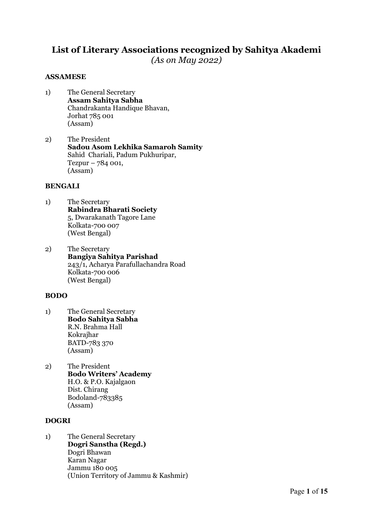# List of Literary Associations recognized by Sahitya Akademi

 $(As on Mau 2022)$ 

# ASSAMESE

- 1) The General Secretary Assam Sahitya Sabha Chandrakanta Handique Bhavan, Jorhat 785 001 (Assam)
- 2) The President Sadou Asom Lekhika Samaroh Samity Sahid Chariali, Padum Pukhuripar, Tezpur – 784 001, (Assam)

## BENGALI

- 1) The Secretary Rabindra Bharati Society 5, Dwarakanath Tagore Lane Kolkata-700 007 (West Bengal)
- 2) The Secretary Bangiya Sahitya Parishad 243/1, Acharya Parafullachandra Road Kolkata-700 006 (West Bengal)

## BODO

- 1) The General Secretary Bodo Sahitya Sabha R.N. Brahma Hall Kokrajhar BATD-783 370 (Assam)
- 2) The President Bodo Writers' Academy H.O. & P.O. Kajalgaon Dist. Chirang Bodoland-783385 (Assam)

# DOGRI

1) The General Secretary Dogri Sanstha (Regd.) Dogri Bhawan Karan Nagar Jammu 180 005 (Union Territory of Jammu & Kashmir)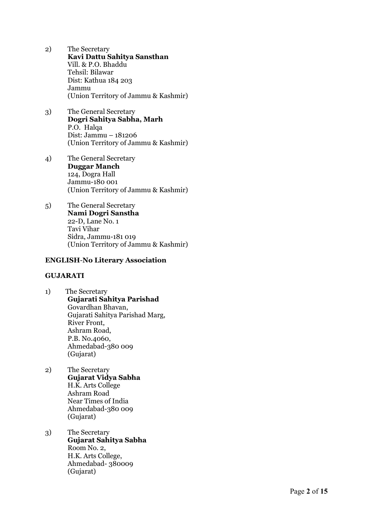- 2) The Secretary Kavi Dattu Sahitya Sansthan Vill. & P.O. Bhaddu Tehsil: Bilawar Dist: Kathua 184 203 Jammu (Union Territory of Jammu & Kashmir)
- 3) The General Secretary Dogri Sahitya Sabha, Marh P.O. Halqa Dist: Jammu – 181206 (Union Territory of Jammu & Kashmir)
- 4) The General Secretary Duggar Manch 124, Dogra Hall Jammu-180 001 (Union Territory of Jammu & Kashmir)
- 5) The General Secretary Nami Dogri Sanstha 22-D, Lane No. 1 Tavi Vihar Sidra, Jammu-181 019 (Union Territory of Jammu & Kashmir)

## ENGLISH -No Literary Association

#### GUJARATI

- 1) The Secretary Gujarati Sahitya Parishad Govardhan Bhavan, Gujarati Sahitya Parishad Marg, River Front, Ashram Road, P.B. No.4060, Ahmedabad-380 009 (Gujarat)
- 2) The Secretary Gujarat Vidya Sabha H.K. Arts College Ashram Road Near Times of India Ahmedabad-380 009 (Gujarat)
- 3) The Secretary Gujarat Sahitya Sabha Room No. 2, H.K. Arts College, Ahmedabad- 380009 (Gujarat)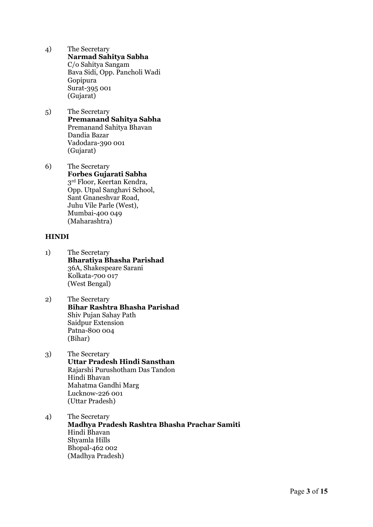- 4) The Secretary Narmad Sahitya Sabha C/o Sahitya Sangam Bava Sidi, Opp. Pancholi Wadi Gopipura Surat-395 001 (Gujarat)
- 5) The Secretary Premanand Sahitya Sabha Premanand Sahitya Bhavan Dandia Bazar Vadodara-390 001 (Gujarat)
- 6) The Secretary Forbes Gujarati Sabha 3<sup>rd</sup> Floor, Keertan Kendra, Opp. Utpal Sanghavi School, Sant Gnaneshvar Road, Juhu Vile Parle (West), Mumbai-400 049 (Maharashtra)

## HINDI

- 1) The Secretary Bharatiya Bhasha Parishad 36A, Shakespeare Sarani Kolkata-700 017 (West Bengal)
- 2) The Secretary Bihar Rashtra Bhasha Parishad Shiv Pujan Sahay Path Saidpur Extension Patna-800 004 (Bihar)
- 3) The Secretary Uttar Pradesh Hindi Sansthan Rajarshi Purushotham Das Tandon Hindi Bhavan Mahatma Gandhi Marg Lucknow-226 001 (Uttar Pradesh)
- 4) The Secretary Madhya Pradesh Rashtra Bhasha Prachar Samiti Hindi Bhavan Shyamla Hills Bhopal-462 002 (Madhya Pradesh)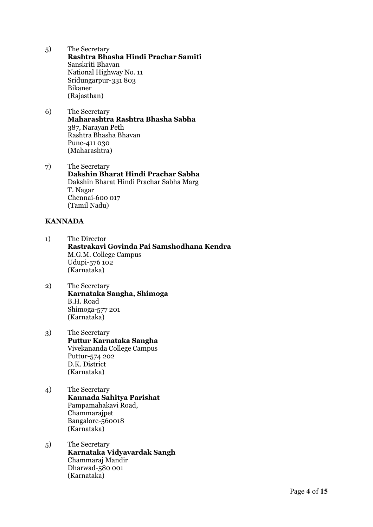- 5) The Secretary Rashtra Bhasha Hindi Prachar Samiti Sanskriti Bhavan National Highway No. 11 Sridungarpur-331 803 Bikaner (Rajasthan)
- 6) The Secretary Maharashtra Rashtra Bhasha Sabha 387, Narayan Peth Rashtra Bhasha Bhavan Pune-411 030 (Maharashtra)
- 7) The Secretary Dakshin Bharat Hindi Prachar Sabha Dakshin Bharat Hindi Prachar Sabha Marg T. Nagar Chennai-600 017 (Tamil Nadu)

## KANNADA

- 1) The Director Rastrakavi Govinda Pai Samshodhana Kendra M.G.M. College Campus Udupi-576 102 (Karnataka)
- 2) The Secretary Karnataka Sangha, Shimoga B.H. Road Shimoga-577 201 (Karnataka)
- 3) The Secretary Puttur Karnataka Sangha Vivekananda College Campus Puttur-574 202 D.K. District (Karnataka)
- 4) The Secretary Kannada Sahitya Parishat Pampamahakavi Road, Chammarajpet Bangalore-560018 (Karnataka)
- 5) The Secretary Karnataka Vidyavardak Sangh Chammaraj Mandir Dharwad-580 001 (Karnataka)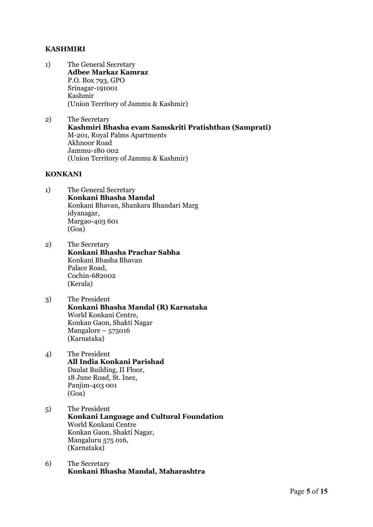# KASHMIRI

- 1) The General Secretary Adbee Markaz Kamraz P.O. Box 793, GPO Srinagar-191001 Kashmir (Union Territory of Jammu & Kashmir)
- 2) The Secretary Kashmiri Bhasha evam Samskriti Pratishthan (Samprati) M-201, Royal Palms Apartments Akhnoor Road Jammu-180 002 (Union Territory of Jammu & Kashmir)

## KONKANI

- 1) The General Secretary Konkani Bhasha Mandal Konkani Bhavan, Shankara Bhandari Marg idyanagar, Margao-403 601 (Goa)
- 2) The Secretary Konkani Bhasha Prachar Sabha Konkani Bhasha Bhavan Palace Road, Cochin-682002 (Kerala)
- 3) The President Konkani Bhasha Mandal (R) Karnataka World Konkani Centre, Konkan Gaon, Shakti Nagar Mangalore – 575016 (Karnataka)
- 4) The President All India Konkani Parishad Daulat Building, II Floor, 18 June Road, St. Inez, Panjim-403 001 (Goa)
- 5) The President Konkani Language and Cultural Foundation World Konkani Centre Konkan Gaon, Shakti Nagar, Mangaluru 575 016, (Karnataka)
- 6) The Secretary Konkani Bhasha Mandal, Maharashtra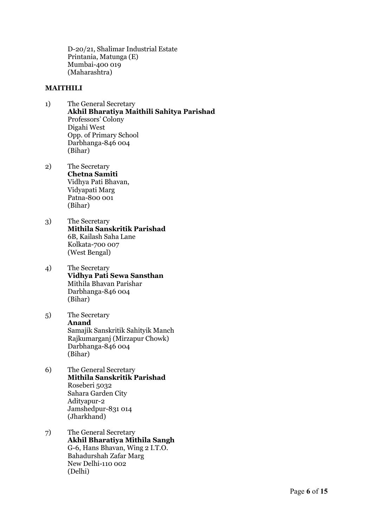D-20/21, Shalimar Industrial Estate Printania, Matunga (E) Mumbai-400 019 (Maharashtra)

## MAITHILI

- 1) The General Secretary Akhil Bharatiya Maithili Sahitya Parishad Professors' Colony Digahi West Opp. of Primary School Darbhanga-846 004 (Bihar)
- 2) The Secretary Chetna Samiti Vidhya Pati Bhavan, Vidyapati Marg Patna-800 001 (Bihar)
- 3) The Secretary Mithila Sanskritik Parishad 6B, Kailash Saha Lane Kolkata-700 007 (West Bengal)
- 4) The Secretary Vidhya Pati Sewa Sansthan Mithila Bhavan Parishar Darbhanga-846 004 (Bihar)
- 5) The Secretary Anand Samajik Sanskritik Sahityik Manch Rajkumarganj (Mirzapur Chowk) Darbhanga-846 004 (Bihar)
- 6) The General Secretary Mithila Sanskritik Parishad Roseberi 5032 Sahara Garden City Adityapur-2 Jamshedpur-831 014 (Jharkhand)
- 7) The General Secretary Akhil Bharatiya Mithila Sangh G-6, Hans Bhavan, Wing 2 I.T.O. Bahadurshah Zafar Marg New Delhi-110 002 (Delhi)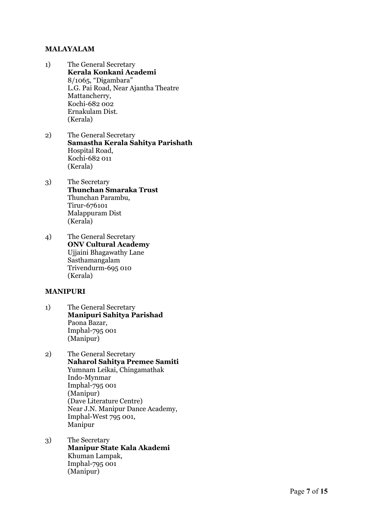# MALAYALAM

- 1) The General Secretary Kerala Konkani Academi 8/1065, "Digambara" L.G. Pai Road, Near Ajantha Theatre Mattancherry, Kochi-682 002 Ernakulam Dist. (Kerala)
- 2) The General Secretary Samastha Kerala Sahitya Parishath Hospital Road, Kochi-682 011 (Kerala)
- 3) The Secretary Thunchan Smaraka Trust Thunchan Parambu, Tirur-676101 Malappuram Dist (Kerala)
- 4) The General Secretary ONV Cultural Academy Ujjaini Bhagawathy Lane Sasthamangalam Trivendurm-695 010 (Kerala)

## MANIPURI

- 1) The General Secretary Manipuri Sahitya Parishad Paona Bazar, Imphal-795 001 (Manipur)
- 2) The General Secretary Naharol Sahitya Premee Samiti Yumnam Leikai, Chingamathak Indo-Mynmar Imphal-795 001 (Manipur) (Dave Literature Centre) Near J.N. Manipur Dance Academy, Imphal-West 795 001, Manipur
- 3) The Secretary Manipur State Kala Akademi Khuman Lampak, Imphal-795 001 (Manipur)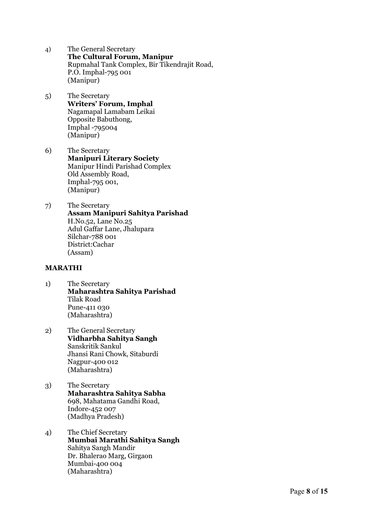- 4) The General Secretary The Cultural Forum, Manipur Rupmahal Tank Complex, Bir Tikendrajit Road, P.O. Imphal-795 001 (Manipur)
- 5) The Secretary Writers' Forum, Imphal Nagamapal Lamabam Leikai Opposite Babuthong, Imphal -795004 (Manipur)
- 6) The Secretary Manipuri Literary Society Manipur Hindi Parishad Complex Old Assembly Road, Imphal-795 001, (Manipur)
- 7) The Secretary Assam Manipuri Sahitya Parishad H.No.52, Lane No.25 Adul Gaffar Lane, Jhalupara Silchar-788 001 District:Cachar (Assam)

## MARATHI

- 1) The Secretary Maharashtra Sahitya Parishad Tilak Road Pune-411 030 (Maharashtra)
- 2) The General Secretary Vidharbha Sahitya Sangh Sanskritik Sankul Jhansi Rani Chowk, Sitaburdi Nagpur-400 012 (Maharashtra)
- 3) The Secretary Maharashtra Sahitya Sabha 698, Mahatama Gandhi Road, Indore-452 007 (Madhya Pradesh)
- 4) The Chief Secretary Mumbai Marathi Sahitya Sangh Sahitya Sangh Mandir Dr. Bhalerao Marg, Girgaon Mumbai-400 004 (Maharashtra)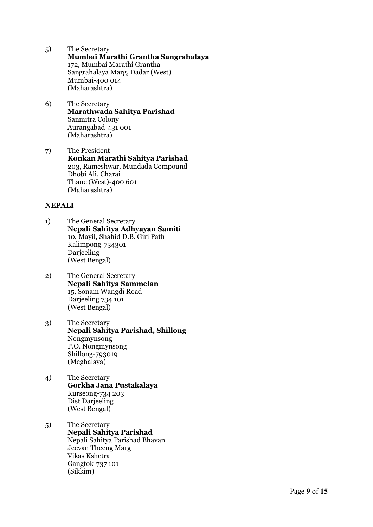- 5) The Secretary Mumbai Marathi Grantha Sangrahalaya 172, Mumbai Marathi Grantha Sangrahalaya Marg, Dadar (West) Mumbai-400 014 (Maharashtra)
- 6) The Secretary Marathwada Sahitya Parishad Sanmitra Colony Aurangabad-431 001 (Maharashtra)
- 7) The President Konkan Marathi Sahitya Parishad 203, Rameshwar, Mundada Compound Dhobi Ali, Charai Thane (West)-400 601 (Maharashtra)

## NEPALI

- 1) The General Secretary Nepali Sahitya Adhyayan Samiti 10, Mayil, Shahid D.B. Giri Path Kalimpong-734301 **Darieeling** (West Bengal)
- 2) The General Secretary Nepali Sahitya Sammelan 15, Sonam Wangdi Road Darjeeling 734 101 (West Bengal)
- 3) The Secretary Nepali Sahitya Parishad, Shillong Nongmynsong P.O. Nongmynsong Shillong-793019 (Meghalaya)
- 4) The Secretary Gorkha Jana Pustakalaya Kurseong-734 203 Dist Darjeeling (West Bengal)
- 5) The Secretary Nepali Sahitya Parishad Nepali Sahitya Parishad Bhavan Jeevan Theeng Marg Vikas Kshetra Gangtok-737 101 (Sikkim)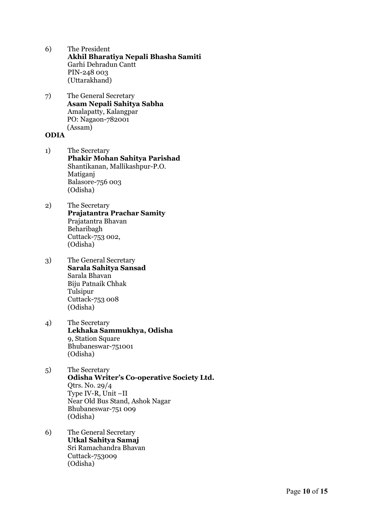- 6) The President Akhil Bharatiya Nepali Bhasha Samiti Garhi Dehradun Cantt PIN-248 003 (Uttarakhand)
- 7) The General Secretary Asam Nepali Sahitya Sabha Amalapatty, Kalangpar PO: Nagaon-782001 (Assam)

# ODIA

- 1) The Secretary Phakir Mohan Sahitya Parishad Shantikanan, Mallikashpur-P.O. Matiganj Balasore-756 003 (Odisha)
- 2) The Secretary Prajatantra Prachar Samity Prajatantra Bhavan Beharibagh Cuttack-753 002, (Odisha)
- 3) The General Secretary Sarala Sahitya Sansad Sarala Bhavan Biju Patnaik Chhak Tulsipur Cuttack-753 008 (Odisha)
- 4) The Secretary Lekhaka Sammukhya, Odisha 9, Station Square Bhubaneswar-751001 (Odisha)
- 5) The Secretary Odisha Writer's Co-operative Society Ltd. Qtrs. No. 29/4 Type IV-R, Unit –II Near Old Bus Stand, Ashok Nagar Bhubaneswar-751 009 (Odisha)
- 6) The General Secretary Utkal Sahitya Samaj Sri Ramachandra Bhavan Cuttack-753009 (Odisha)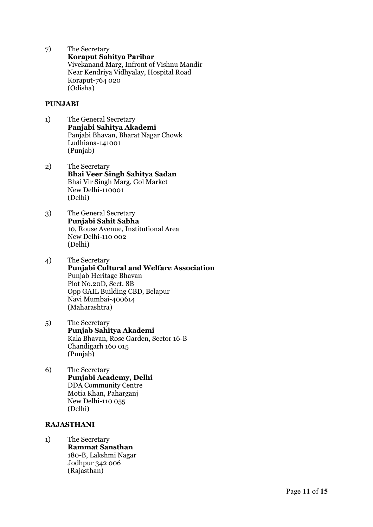7) The Secretary Koraput Sahitya Paribar Vivekanand Marg, Infront of Vishnu Mandir Near Kendriya Vidhyalay, Hospital Road Koraput-764 020 (Odisha)

## PUNJABI

- 1) The General Secretary Panjabi Sahitya Akademi Panjabi Bhavan, Bharat Nagar Chowk Ludhiana-141001 (Punjab)
- 2) The Secretary Bhai Veer Singh Sahitya Sadan Bhai Vir Singh Marg, Gol Market New Delhi-110001 (Delhi)
- 3) The General Secretary Punjabi Sahit Sabha 10, Rouse Avenue, Institutional Area New Delhi-110 002 (Delhi)
- 4) The Secretary Punjabi Cultural and Welfare Association Punjab Heritage Bhavan Plot No.20D, Sect. 8B Opp GAIL Building CBD, Belapur Navi Mumbai-400614 (Maharashtra)
- 5) The Secretary Punjab Sahitya Akademi Kala Bhavan, Rose Garden, Sector 16-B Chandigarh 160 015 (Punjab)
- 6) The Secretary Punjabi Academy, Delhi DDA Community Centre Motia Khan, Paharganj New Delhi-110 055 (Delhi)

## RAJASTHANI

1) The Secretary Rammat Sansthan 180-B, Lakshmi Nagar Jodhpur 342 006 (Rajasthan)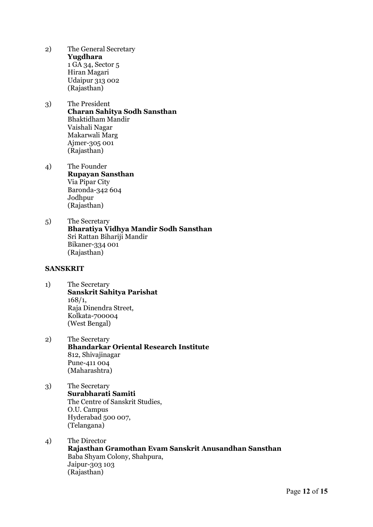- 2) The General Secretary Yugdhara 1 GA 34, Sector 5 Hiran Magari Udaipur 313 002 (Rajasthan)
- 3) The President Charan Sahitya Sodh Sansthan Bhaktidham Mandir Vaishali Nagar Makarwali Marg Ajmer-305 001 (Rajasthan)
- 4) The Founder Rupayan Sansthan Via Pipar City Baronda-342 604 Jodhpur (Rajasthan)
- 5) The Secretary Bharatiya Vidhya Mandir Sodh Sansthan Sri Rattan Bihariji Mandir Bikaner-334 001 (Rajasthan)

#### SANSKRIT

- 1) The Secretary Sanskrit Sahitya Parishat 168/1, Raja Dinendra Street, Kolkata-700004 (West Bengal)
- 2) The Secretary Bhandarkar Oriental Research Institute 812, Shivajinagar Pune-411 004 (Maharashtra)
- 3) The Secretary Surabharati Samiti The Centre of Sanskrit Studies, O.U. Campus Hyderabad 500 007, (Telangana)
- 4) The Director Rajasthan Gramothan Evam Sanskrit Anusandhan Sansthan Baba Shyam Colony, Shahpura, Jaipur-303 103 (Rajasthan)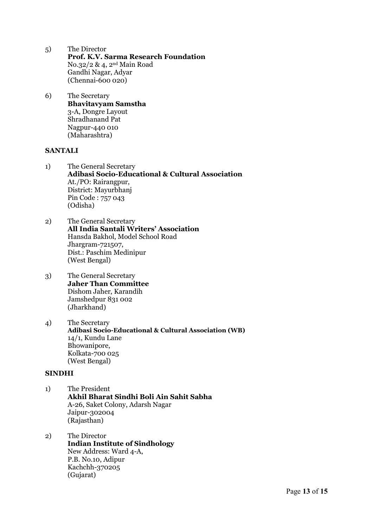- 5) The Director Prof. K.V. Sarma Research Foundation No.32/2 & 4, 2nd Main Road Gandhi Nagar, Adyar (Chennai-600 020)
- 6) The Secretary Bhavitavyam Samstha 3-A, Dongre Layout Shradhanand Pat Nagpur-440 010 (Maharashtra)

## **SANTALI**

- 1) The General Secretary Adibasi Socio-Educational & Cultural Association At./PO: Rairangpur, District: Mayurbhanj Pin Code : 757 043 (Odisha)
- 2) The General Secretary All India Santali Writers' Association Hansda Bakhol, Model School Road Jhargram-721507, Dist.: Paschim Medinipur (West Bengal)
- 3) The General Secretary Jaher Than Committee Dishom Jaher, Karandih Jamshedpur 831 002 (Jharkhand)
- 4) The Secretary Adibasi Socio-Educational & Cultural Association (WB) 14/1, Kundu Lane Bhowanipore, Kolkata-700 025 (West Bengal)

#### SINDHI

- 1) The President Akhil Bharat Sindhi Boli Ain Sahit Sabha A-26, Saket Colony, Adarsh Nagar Jaipur-302004 (Rajasthan)
- 2) The Director Indian Institute of Sindhology New Address: Ward 4-A, P.B. No.10, Adipur Kachchh-370205 (Gujarat)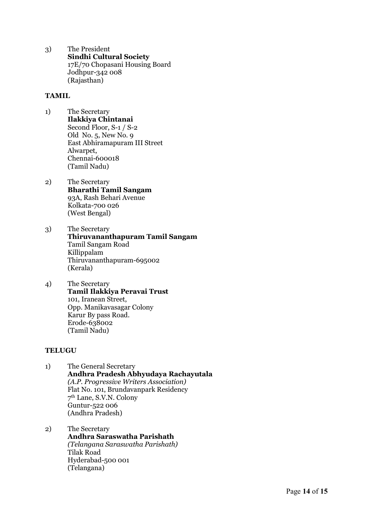3) The President Sindhi Cultural Society 17E/70 Chopasani Housing Board Jodhpur-342 008 (Rajasthan)

## TAMIL

- 1) The Secretary Ilakkiya Chintanai Second Floor, S-1 / S-2 Old No. 5, New No. 9 East Abhiramapuram III Street Alwarpet, Chennai-600018 (Tamil Nadu)
- 2) The Secretary Bharathi Tamil Sangam 93A, Rash Behari Avenue Kolkata-700 026 (West Bengal)
- 3) The Secretary Thiruvananthapuram Tamil Sangam Tamil Sangam Road Killippalam Thiruvananthapuram-695002 (Kerala)
- 4) The Secretary Tamil Ilakkiya Peravai Trust 101, Iranean Street, Opp. Manikavasagar Colony Karur By pass Road. Erode-638002 (Tamil Nadu)

#### **TELUGU**

- 1) The General Secretary Andhra Pradesh Abhyudaya Rachayutala (A.P. Progressive Writers Association) Flat No. 101, Brundavanpark Residency 7 th Lane, S.V.N. Colony Guntur-522 006 (Andhra Pradesh)
- 2) The Secretary Andhra Saraswatha Parishath (Telangana Saraswatha Parishath) Tilak Road Hyderabad-500 001 (Telangana)